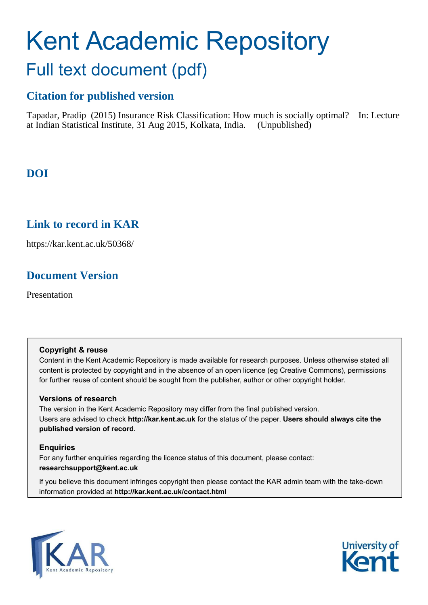# Kent Academic Repository Full text document (pdf)

# **Citation for published version**

Tapadar, Pradip (2015) Insurance Risk Classification: How much is socially optimal? In: Lecture at Indian Statistical Institute, 31 Aug 2015, Kolkata, India. (Unpublished)

# **DOI**

# <span id="page-0-0"></span>**Link to record in KAR**

https://kar.kent.ac.uk/50368/

# **Document Version**

Presentation

#### **Copyright & reuse**

Content in the Kent Academic Repository is made available for research purposes. Unless otherwise stated all content is protected by copyright and in the absence of an open licence (eg Creative Commons), permissions for further reuse of content should be sought from the publisher, author or other copyright holder.

#### **Versions of research**

The version in the Kent Academic Repository may differ from the final published version. Users are advised to check **http://kar.kent.ac.uk** for the status of the paper. **Users should always cite the published version of record.**

#### **Enquiries**

For any further enquiries regarding the licence status of this document, please contact: **researchsupport@kent.ac.uk**

If you believe this document infringes copyright then please contact the KAR admin team with the take-down information provided at **http://kar.kent.ac.uk/contact.html**



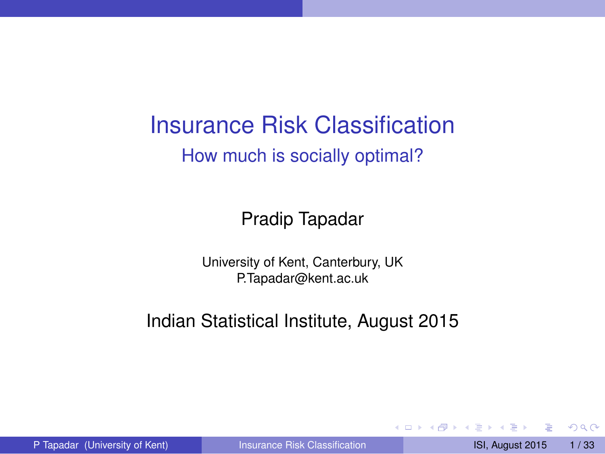Insurance Risk Classification How much is socially optimal?

Pradip Tapadar

University of Kent, Canterbury, UK P.Tapadar@kent.ac.uk

Indian Statistical Institute, August 2015

a miller

 $\leftarrow$   $\leftarrow$   $\leftarrow$   $\leftarrow$   $\leftarrow$ 

<span id="page-1-0"></span> $\Omega$ 

The South The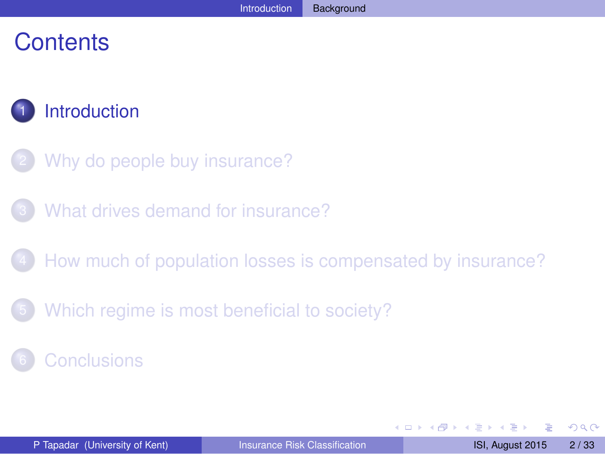# **Contents**



- [Why do people buy insurance?](#page-6-0)
- [What drives demand for insurance?](#page-12-0)
- [How much of population losses is compensated by insurance?](#page-18-0)
- [Which regime is most beneficial to society?](#page-28-0)
- **[Conclusions](#page-30-0)**

<span id="page-2-0"></span> $\Omega$ 

The South The

 $-1$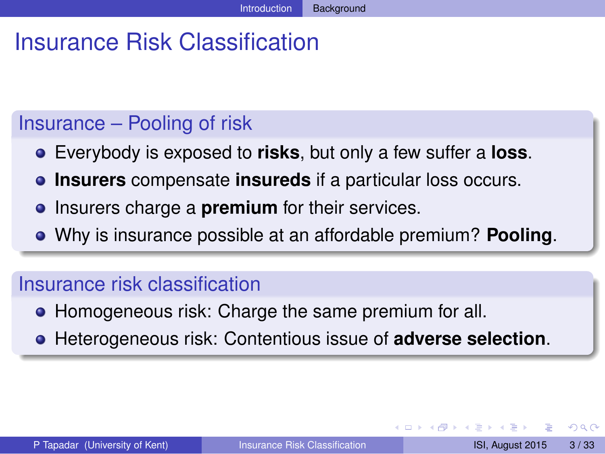# Insurance Risk Classification

#### Insurance – Pooling of risk

- Everybody is exposed to **risks**, but only a few suffer a **loss**.
- **Insurers** compensate **insureds** if a particular loss occurs.
- **•** Insurers charge a **premium** for their services.
- Why is insurance possible at an affordable premium? **Pooling**.

#### Insurance risk classification

- Homogeneous risk: Charge the same premium for all.
- Heterogeneous risk: Contentious issue of **adverse selection**.

<span id="page-3-0"></span> $\Omega$ 

The South The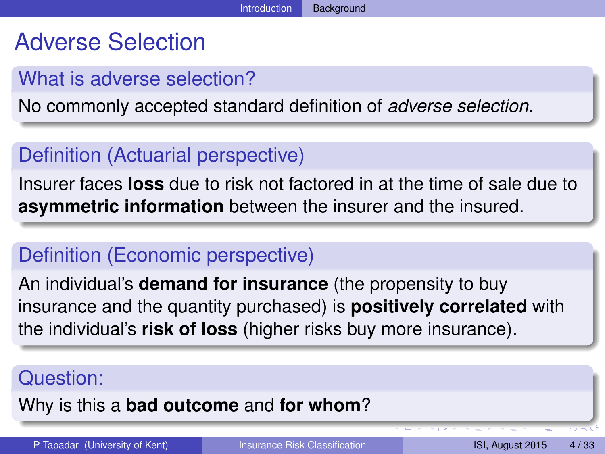# Adverse Selection

### What is adverse selection?

No commonly accepted standard definition of *adverse selection*.

# Definition (Actuarial perspective)

Insurer faces **loss** due to risk not factored in at the time of sale due to **asymmetric information** between the insurer and the insured.

## Definition (Economic perspective)

An individual's **demand for insurance** (the propensity to buy insurance and the quantity purchased) is **positively correlated** with the individual's **risk of loss** (higher risks buy more insurance).

#### Question:

#### Why is this a **bad outcome** and **for whom**?

<span id="page-4-0"></span>P Tapadar (University of Kent) [Insurance Risk Classification](#page-0-0) ISI, August 2015 4/33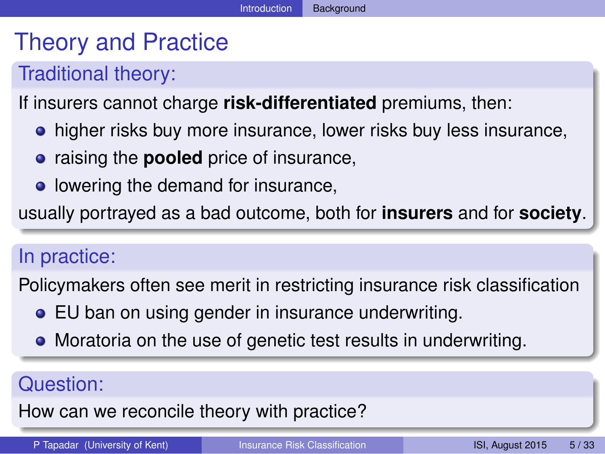# Theory and Practice

# Traditional theory:

#### If insurers cannot charge **risk-differentiated** premiums, then:

- **•** higher risks buy more insurance, lower risks buy less insurance,
- **•** raising the **pooled** price of insurance,
- lowering the demand for insurance,

usually portrayed as a bad outcome, both for **insurers** and for **society**.

#### In practice:

Policymakers often see merit in restricting insurance risk classification

- EU ban on using gender in insurance underwriting.
- Moratoria on the use of genetic test results in underwriting.

#### Question:

How can we reconcile theory with practice?

<span id="page-5-0"></span>P Tapadar (University of Kent) **[Insurance Risk Classification](#page-0-0)** ISI, August 2015 5/33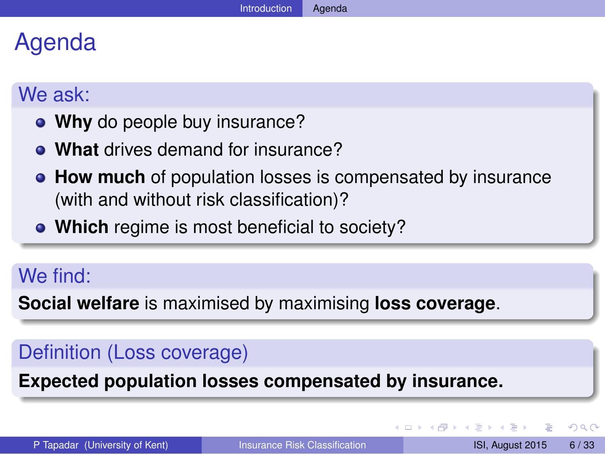# Agenda

#### We ask:

- **Why** do people buy insurance?
- **What** drives demand for insurance?
- **How much** of population losses is compensated by insurance (with and without risk classification)?
- **Which** regime is most beneficial to society?

# We find:

**Social welfare** is maximised by maximising **loss coverage**.

# Definition (Loss coverage)

**Expected population losses compensated by insurance.**

<span id="page-6-0"></span> $\Omega$ 

医下す 医下

4 **D + 4 fl + 4**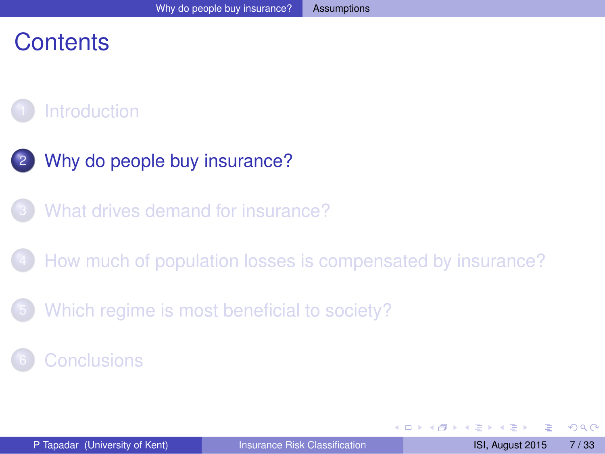# **Contents**

# **[Introduction](#page-1-0)**

- [Why do people buy insurance?](#page-6-0)
- [What drives demand for insurance?](#page-12-0)
- [How much of population losses is compensated by insurance?](#page-18-0)
- [Which regime is most beneficial to society?](#page-28-0)

#### **[Conclusions](#page-30-0)**

<span id="page-7-0"></span> $\Omega$ 

The Sea 14 E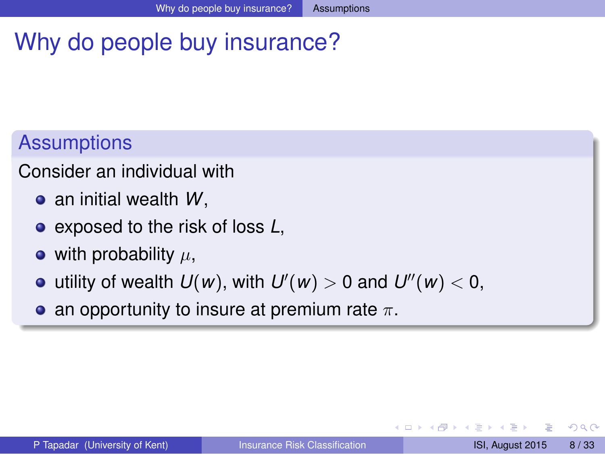# Why do people buy insurance?

# **Assumptions**

Consider an individual with

- an initial wealth *W*,
- exposed to the risk of loss *L*,
- with probability  $\mu$ ,
- utility of wealth  $U(w)$ , with  $U'(w) > 0$  and  $U''(w) < 0$ ,
- an opportunity to insure at premium rate  $\pi$ .

<span id="page-8-0"></span> $\Omega$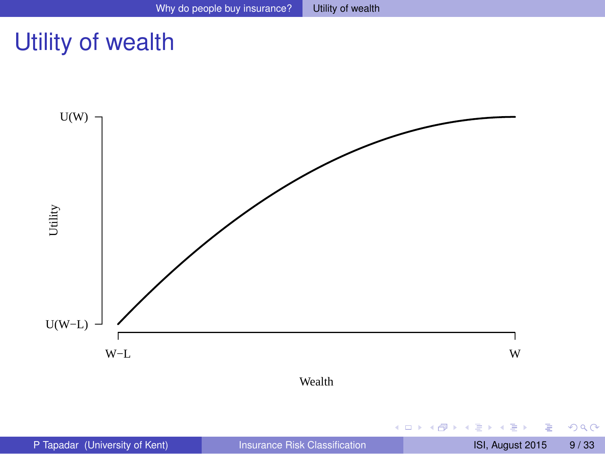# Utility of wealth



重

<span id="page-9-0"></span> $299$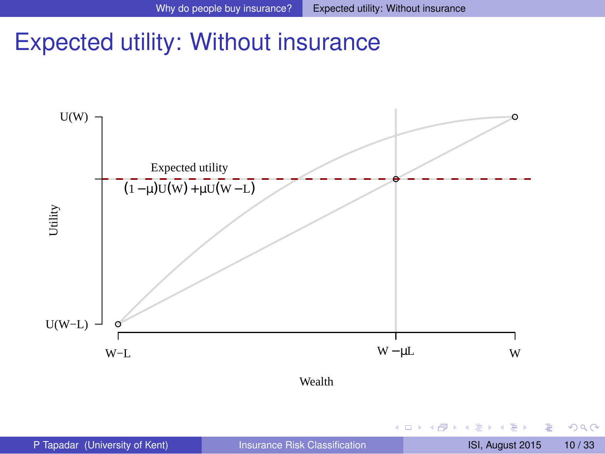# Expected utility: Without insurance



4 0 8

 $\leftarrow$   $\leftarrow$   $\leftarrow$ 

Þ

<span id="page-10-0"></span> $299$ 

**Bark B**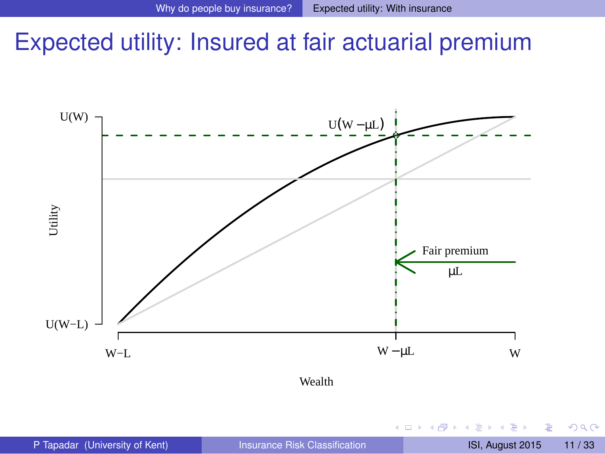# Expected utility: Insured at fair actuarial premium



Wealth

4 0 8

All is

E K  $\mathcal{A}$  э

<span id="page-11-0"></span> $299$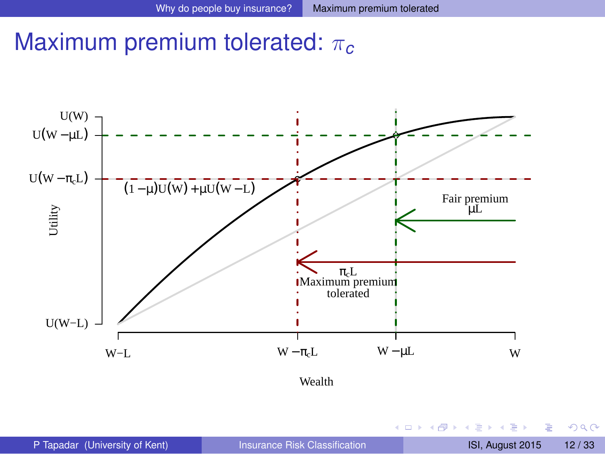# Maximum premium tolerated: π*<sup>c</sup>*



Þ

<span id="page-12-0"></span> $299$ 

 $\mathbf{A} \equiv \mathbf{A} \times \mathbf{A} \equiv \mathbf{A}$ 

**4 ロト 4 何 ト**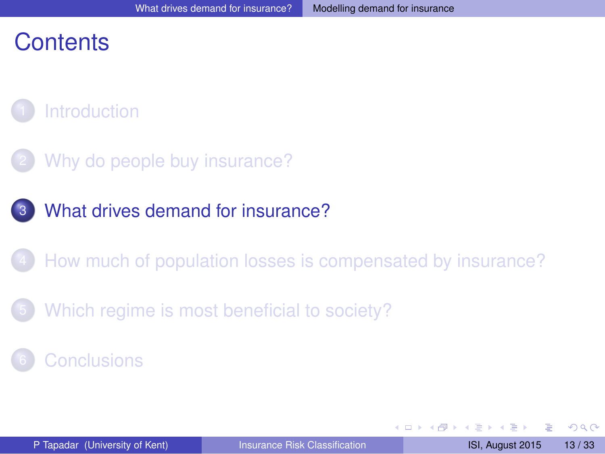# **Contents**



- [Why do people buy insurance?](#page-6-0)
- [What drives demand for insurance?](#page-12-0)
- [How much of population losses is compensated by insurance?](#page-18-0)
- [Which regime is most beneficial to society?](#page-28-0)
- **[Conclusions](#page-30-0)**

4 0 8

 $\overline{AB}$ 

<span id="page-13-0"></span> $\Omega$ 

不同 医不同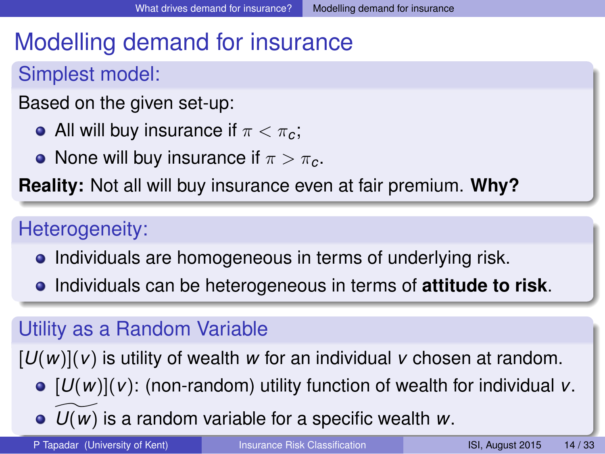# Modelling demand for insurance

# Simplest model:

- Based on the given set-up:
	- All will buy insurance if  $\pi < \pi_c$ ;
	- None will buy insurance if  $\pi > \pi_c$ .

**Reality:** Not all will buy insurance even at fair premium. **Why?**

# Heterogeneity:

- Individuals are homogeneous in terms of underlying risk.
- Individuals can be heterogeneous in terms of **attitude to risk**.

# Utility as a Random Variable

[*U*(*w*)](*v*) is utility of wealth *w* for an individual *v* chosen at random.

- $\bullet$   $[U(w)](v)$ : (non-random) utility function of wealth for individual *v*.
- $\bullet$   $U(w)$  $U(w)$  $U(w)$  is a random variable for a specific [wea](#page-12-0)[lth](#page-14-0) *w*[.](#page-14-0)

P Tapadar (University of Kent) [Insurance Risk Classification](#page-0-0) ISI, August 2015 14/33

<span id="page-14-0"></span>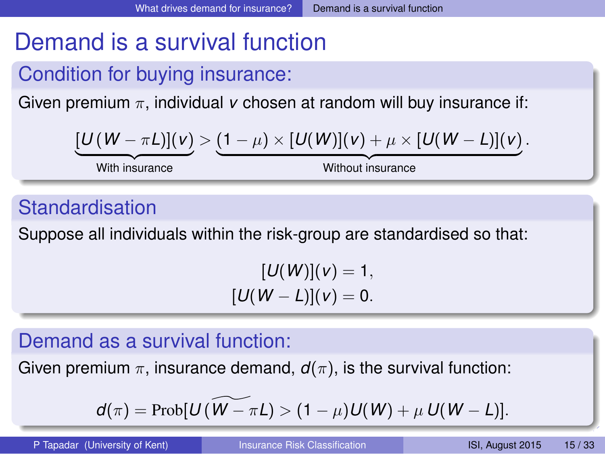# Demand is a survival function

# Condition for buying insurance:

Given premium π, individual *v* chosen at random will buy insurance if:

$$
[U(W-\pi L)](v)>(1-\mu)\times [U(W)](v)+\mu\times [U(W-L)](v).
$$

With insurance

Without insurance

#### Standardisation

Suppose all individuals within the risk-group are standardised so that:

<span id="page-15-0"></span> $[U(W)](v) = 1,$  $[U(W - L)](v) = 0.$ 

#### Demand as a survival function:

Given premium  $\pi$ , insurance demand,  $d(\pi)$ , is the survival function:

$$
d(\pi) = \mathrm{Prob}[U(\widetilde{W-\pi L}) > (1-\mu)U(W) + \mu U(W-L)].
$$

P Tapadar (University of Kent) [Insurance Risk Classification](#page-0-0) ISI, August 2015 15/33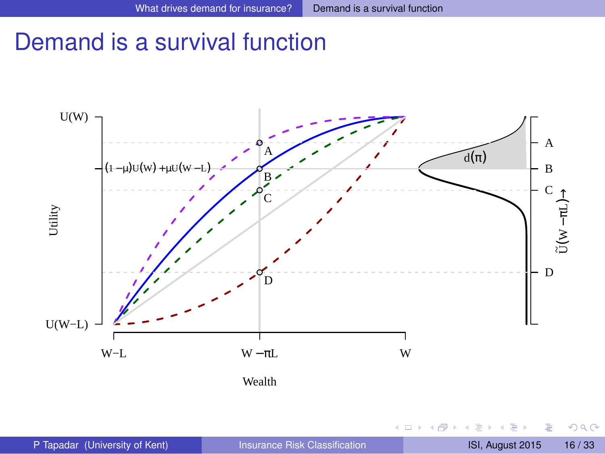# Demand is a survival function



 $(1 - 1)$ 

<span id="page-16-0"></span> $299$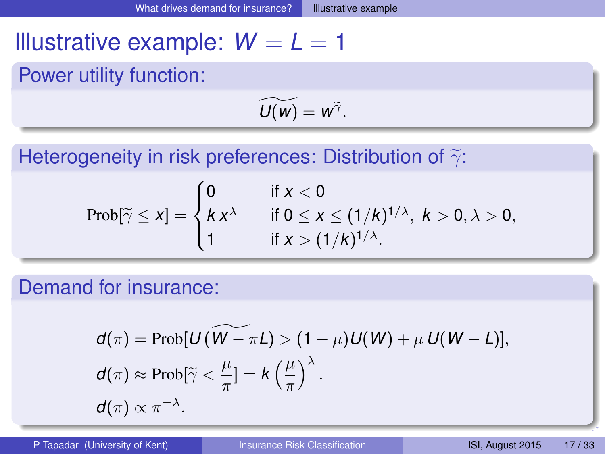# Illustrative example:  $W = L = 1$

Power utility function:

<span id="page-17-0"></span>
$$
\widetilde{U(w)}=w^{\widetilde{\gamma}}.
$$

Heterogeneity in risk preferences: Distribution of  $\widetilde{\gamma}$ :

$$
Prob[\widetilde{\gamma} \leq x] = \begin{cases} 0 & \text{if } x < 0 \\ k x^{\lambda} & \text{if } 0 \leq x \leq (1/k)^{1/\lambda}, \ k > 0, \lambda > 0, \\ 1 & \text{if } x > (1/k)^{1/\lambda}. \end{cases}
$$

Demand for insurance:

$$
d(\pi) = \text{Prob}[U(\widetilde{W-\pi L}) > (1-\mu)U(W) + \mu U(W-L)],
$$
  
\n
$$
d(\pi) \approx \text{Prob}[\widetilde{\gamma} < \frac{\mu}{\pi}] = k\left(\frac{\mu}{\pi}\right)^{\lambda}.
$$
  
\n
$$
d(\pi) \propto \pi^{-\lambda}.
$$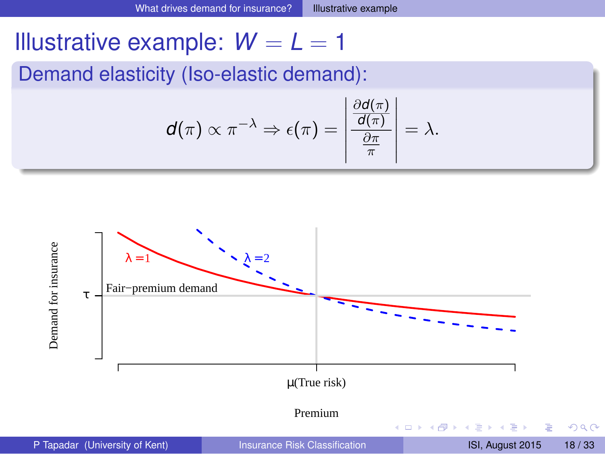# Illustrative example:  $W = L = 1$

Demand elasticity (Iso-elastic demand):

<span id="page-18-0"></span>
$$
\mathbf{d}(\pi) \propto \pi^{-\lambda} \Rightarrow \epsilon(\pi) = \left| \frac{\frac{\partial \mathbf{d}(\pi)}{\mathbf{d}(\pi)}}{\frac{\partial \pi}{\pi}} \right| = \lambda.
$$

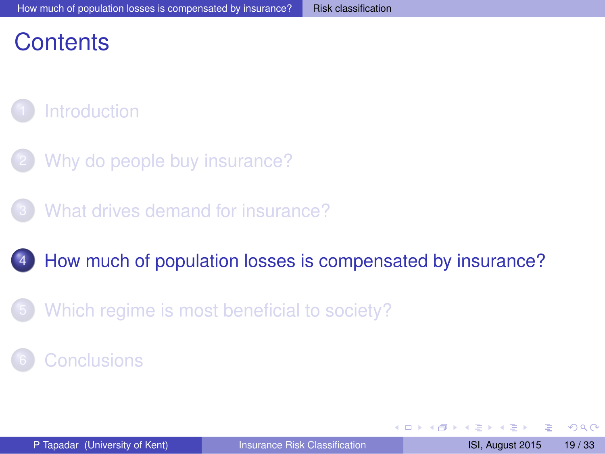# **Contents**

# **[Introduction](#page-1-0)**

- [Why do people buy insurance?](#page-6-0)
- [What drives demand for insurance?](#page-12-0)
- [How much of population losses is compensated by insurance?](#page-18-0)
- [Which regime is most beneficial to society?](#page-28-0)

#### **[Conclusions](#page-30-0)**

<span id="page-19-0"></span> $\Omega$ 

不同 医不同

And in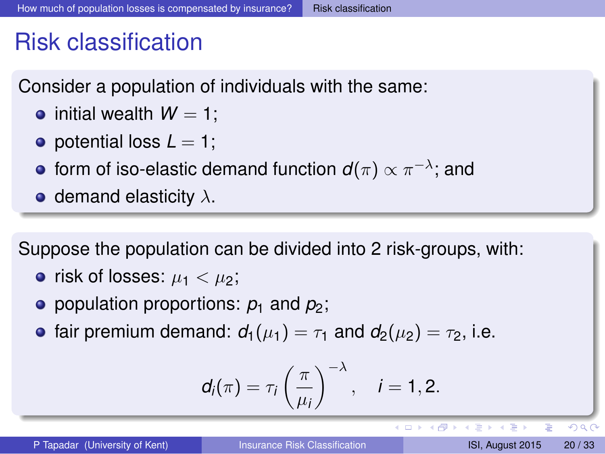# Risk classification

Consider a population of individuals with the same:

- $\bullet$  initial wealth  $W = 1$ :
- $\bullet$  potential loss  $L = 1$ ;
- form of iso-elastic demand function  $\bm{d}(\pi) \propto \pi^{-\lambda}$ ; and
- demand elasticity  $\lambda$ .

Suppose the population can be divided into 2 risk-groups, with:

- risk of losses:  $\mu_1 < \mu_2$ ;
- population proportions:  $p_1$  and  $p_2$ ;
- **•** fair premium demand:  $d_1(\mu_1) = \tau_1$  and  $d_2(\mu_2) = \tau_2$ , i.e.

$$
d_i(\pi)=\tau_i\left(\frac{\pi}{\mu_i}\right)^{-\lambda}, \quad i=1,2.
$$

в

<span id="page-20-0"></span> $\Omega$ 

イロメ イ押 トイラメイラメー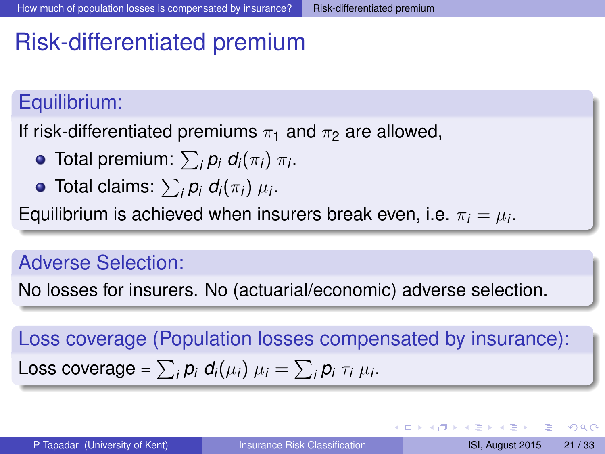# Risk-differentiated premium

#### Equilibrium:

If risk-differentiated premiums  $\pi_1$  and  $\pi_2$  are allowed,

- Total premium:  $\sum_i p_i \ d_i(\pi_i) \ \pi_i$ .
- Total claims:  $\sum_{i} p_i \ d_i(\pi_i) \ \mu_i$ .

Equilibrium is achieved when insurers break even, i.e.  $\pi_i = \mu_i.$ 

#### Adverse Selection:

No losses for insurers. No (actuarial/economic) adverse selection.

Loss coverage (Population losses compensated by insurance): Loss coverage =  $\sum_i p_i d_i(\mu_i) \mu_i = \sum_i p_i \tau_i \mu_i$ .

в

<span id="page-21-0"></span> $\Omega$ 

4 ロ ト 4 何 ト 4 ラ ト 4 ラ ト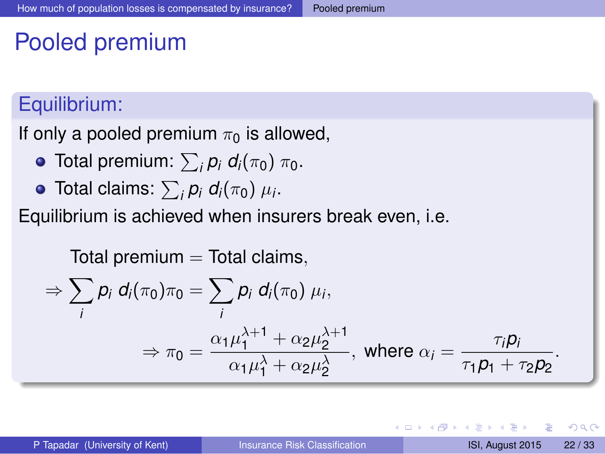# Pooled premium

#### Equilibrium:

If only a pooled premium  $\pi_0$  is allowed,

- **Total premium:**  $\sum_i \rho_i d_i(\pi_0) \pi_0$ .
- Total claims:  $\sum_{i} p_i d_i(\pi_0) \mu_i$ .

Equilibrium is achieved when insurers break even, i.e.

Total premium = Total claims,  
\n
$$
\Rightarrow \sum_{i} p_i d_i(\pi_0) \pi_0 = \sum_{i} p_i d_i(\pi_0) \mu_i,
$$
\n
$$
\Rightarrow \pi_0 = \frac{\alpha_1 \mu_1^{\lambda+1} + \alpha_2 \mu_2^{\lambda+1}}{\alpha_1 \mu_1^{\lambda} + \alpha_2 \mu_2^{\lambda}}, \text{ where } \alpha_i = \frac{\pi_i p_i}{\pi_1 p_1 + \pi_2 p_2}.
$$

<span id="page-22-0"></span> $\Omega$ 

不重 的不重

 $\overline{AB}$ 

4 0 5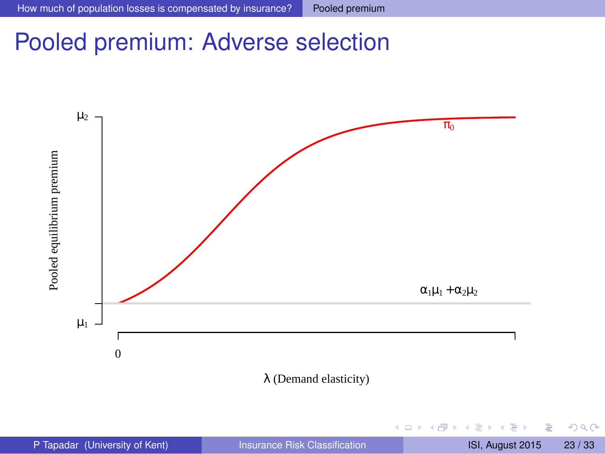# Pooled premium: Adverse selection



4 0 8 ×. ● ト Þ

<span id="page-23-0"></span> $299$ 

重す  $\sim$ 舌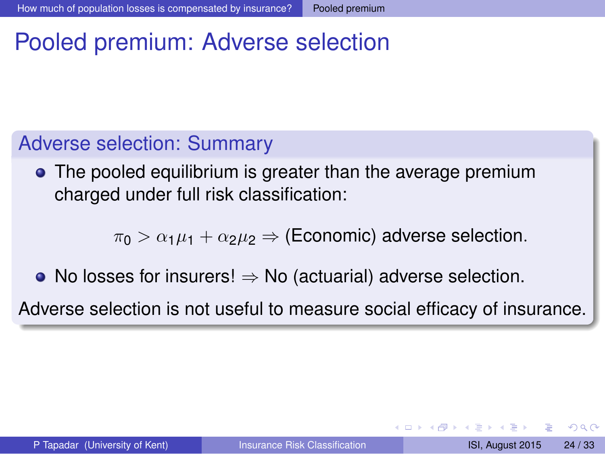# Pooled premium: Adverse selection

#### Adverse selection: Summary

• The pooled equilibrium is greater than the average premium charged under full risk classification:

 $\pi_0 > \alpha_1 \mu_1 + \alpha_2 \mu_2 \Rightarrow$  (Economic) adverse selection.

• No losses for insurers!  $\Rightarrow$  No (actuarial) adverse selection.

Adverse selection is not useful to measure social efficacy of insurance.

<span id="page-24-0"></span> $\Omega$ 

医骨盆 医骨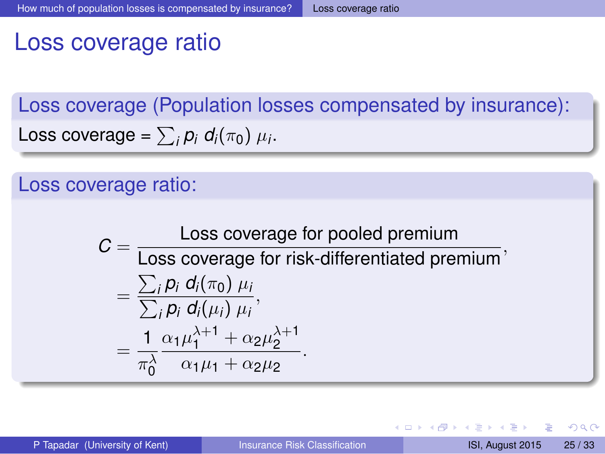# Loss coverage ratio

Loss coverage (Population losses compensated by insurance): Loss coverage =  $\sum_i p_i d_i(\pi_0) \mu_i$ .

#### Loss coverage ratio:

$$
C = \frac{\text{Loss coverage for pooled premium}}{\text{Loss coverage for risk-differentiated premium}},
$$
  
= 
$$
\frac{\sum_{i} p_{i} d_{i}(\pi_{0}) \mu_{i}}{\sum_{i} p_{i} d_{i}(\mu_{i}) \mu_{i}},
$$
  
= 
$$
\frac{1}{\pi_{0}^{\lambda}} \frac{\alpha_{1} \mu_{1}^{\lambda+1} + \alpha_{2} \mu_{2}^{\lambda+1}}{\alpha_{1} \mu_{1} + \alpha_{2} \mu_{2}}.
$$

4 0 8  $\overline{AB}$  Þ

<span id="page-25-0"></span> $\Omega$ 

不重 医不重 医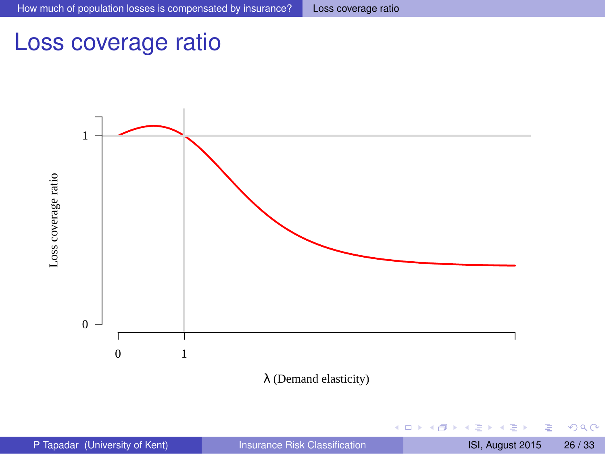# Loss coverage ratio



λ (Demand elasticity)

4 0 8 1  $\leftarrow$   $\leftarrow$   $\leftarrow$ a. ラメス 国 重

<span id="page-26-0"></span> $299$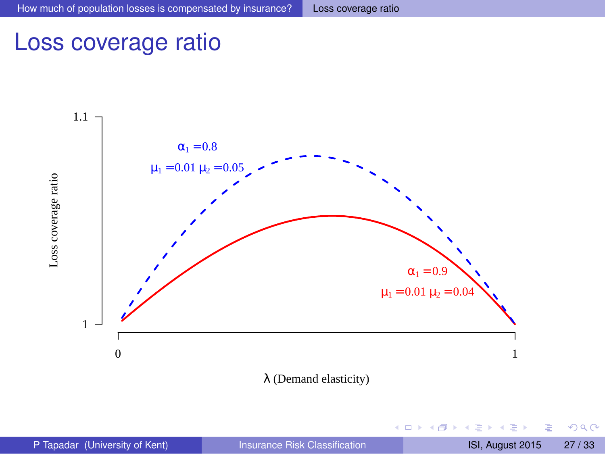# Loss coverage ratio



λ (Demand elasticity)

4 0 8 ×. AD 15 E

<span id="page-27-0"></span> $299$ 

不重 的不重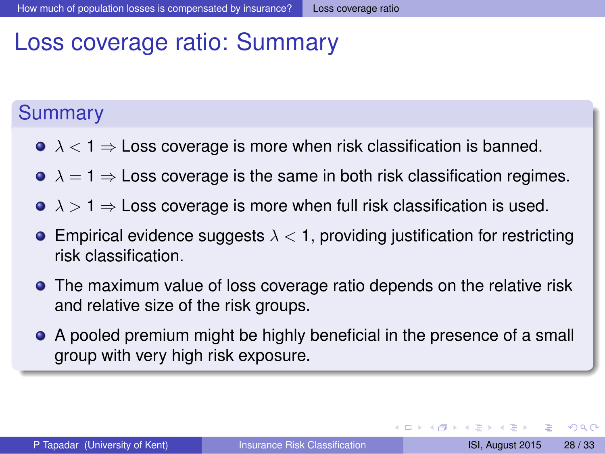# Loss coverage ratio: Summary

#### **Summary**

- $\lambda$  < 1  $\Rightarrow$  Loss coverage is more when risk classification is banned.
- $\bullet \lambda = 1 \Rightarrow$  Loss coverage is the same in both risk classification regimes.
- $\lambda > 1 \Rightarrow$  Loss coverage is more when full risk classification is used.
- **E**mpirical evidence suggests  $\lambda < 1$ , providing justification for restricting risk classification.
- **•** The maximum value of loss coverage ratio depends on the relative risk and relative size of the risk groups.
- A pooled premium might be highly beneficial in the presence of a small group with very high risk exposure.

D.

<span id="page-28-0"></span> $\Omega$ 

イロト イ押 トイラト イラト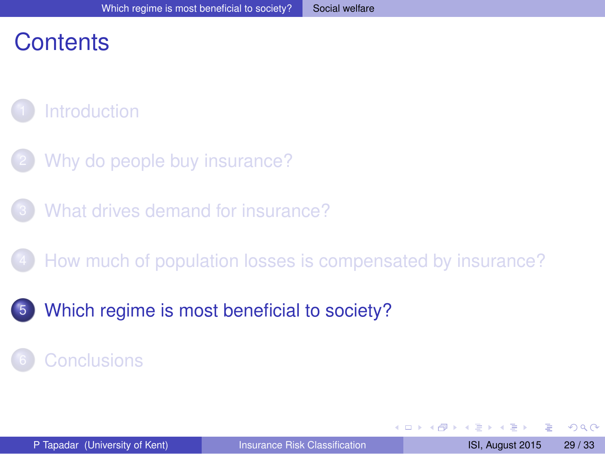# **Contents**

# **[Introduction](#page-1-0)**

- [Why do people buy insurance?](#page-6-0)
- [What drives demand for insurance?](#page-12-0)
- [How much of population losses is compensated by insurance?](#page-18-0)
- [Which regime is most beneficial to society?](#page-28-0)

### **[Conclusions](#page-30-0)**

<span id="page-29-0"></span> $\Omega$ 

不同 医不同

 $\Box$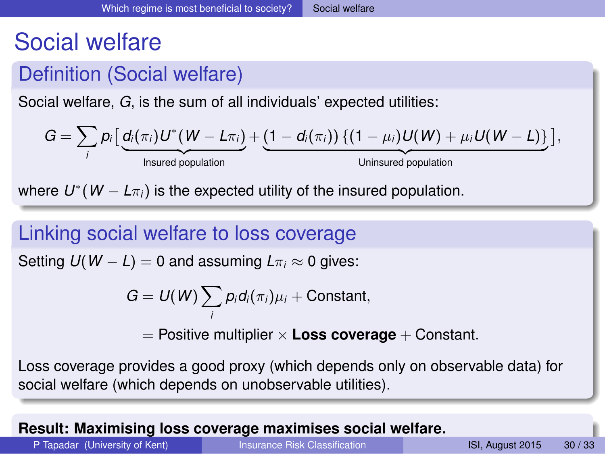# Social welfare

# Definition (Social welfare)

Social welfare, *G*, is the sum of all individuals' expected utilities:

$$
G = \sum_i p_i \left[ \underbrace{d_i(\pi_i) U^*(W - L\pi_i)}_{\text{insured population}} + \underbrace{(1 - d_i(\pi_i)) \left\{ (1 - \mu_i) U(W) + \mu_i U(W - L) \right\}}_{\text{Uninsured population}} \right],
$$

where  $U^*(W - L\pi_i)$  is the expected utility of the insured population.

#### Linking social welfare to loss coverage

Setting  $U(W - L) = 0$  and assuming  $L\pi_i \approx 0$  gives:

$$
G=U(W)\sum_i p_i d_i(\pi_i)\mu_i+\text{Constant},
$$

 $=$  Positive multiplier  $\times$  **Loss coverage**  $+$  Constant.

Loss coverage provides a good proxy (which depends only on observable data) for social welfare (which depends on unobservable utilities).

#### **Result: Maximising loss coverage maximises social [we](#page-28-0)[lfa](#page-30-0)[r](#page-28-0)[e.](#page-29-0)**

<span id="page-30-0"></span>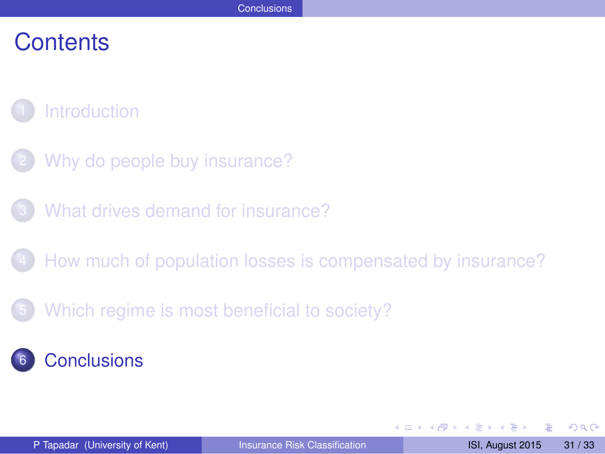# **Contents**

- **[Introduction](#page-1-0)**
- [Why do people buy insurance?](#page-6-0)
- [What drives demand for insurance?](#page-12-0)
- [How much of population losses is compensated by insurance?](#page-18-0)
- [Which regime is most beneficial to society?](#page-28-0)
- **[Conclusions](#page-30-0)**

4 0 8

 $\overline{AB}$ 

<span id="page-31-0"></span> $\Omega$ 

The South The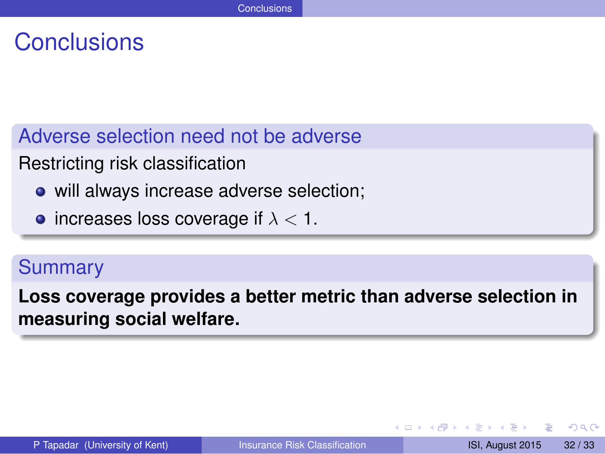# **Conclusions**

Adverse selection need not be adverse

Restricting risk classification

- will always increase adverse selection;
- increases loss coverage if  $\lambda < 1$ .

#### Summary

**Loss coverage provides a better metric than adverse selection in measuring social welfare.**

в

<span id="page-32-0"></span> $\Omega$ 

不重 医不重 医